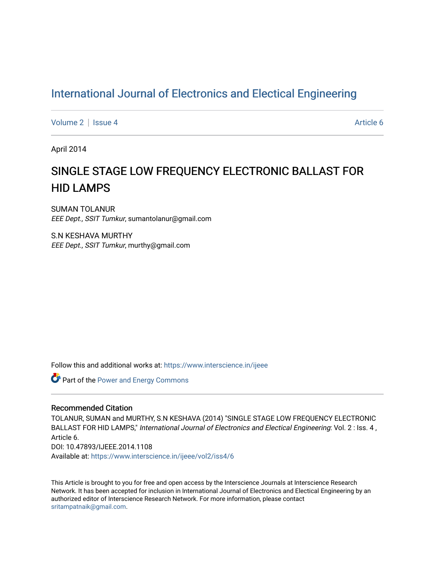## [International Journal of Electronics and Electical Engineering](https://www.interscience.in/ijeee)

[Volume 2](https://www.interscience.in/ijeee/vol2) | [Issue 4](https://www.interscience.in/ijeee/vol2/iss4) Article 6

April 2014

# SINGLE STAGE LOW FREQUENCY ELECTRONIC BALLAST FOR HID LAMPS

SUMAN TOLANUR EEE Dept., SSIT Tumkur, sumantolanur@gmail.com

S.N KESHAVA MURTHY EEE Dept., SSIT Tumkur, murthy@gmail.com

Follow this and additional works at: [https://www.interscience.in/ijeee](https://www.interscience.in/ijeee?utm_source=www.interscience.in%2Fijeee%2Fvol2%2Fiss4%2F6&utm_medium=PDF&utm_campaign=PDFCoverPages)

**Part of the Power and Energy Commons** 

## Recommended Citation

TOLANUR, SUMAN and MURTHY, S.N KESHAVA (2014) "SINGLE STAGE LOW FREQUENCY ELECTRONIC BALLAST FOR HID LAMPS," International Journal of Electronics and Electical Engineering: Vol. 2 : Iss. 4, Article 6. DOI: 10.47893/IJEEE.2014.1108 Available at: [https://www.interscience.in/ijeee/vol2/iss4/6](https://www.interscience.in/ijeee/vol2/iss4/6?utm_source=www.interscience.in%2Fijeee%2Fvol2%2Fiss4%2F6&utm_medium=PDF&utm_campaign=PDFCoverPages)

This Article is brought to you for free and open access by the Interscience Journals at Interscience Research Network. It has been accepted for inclusion in International Journal of Electronics and Electical Engineering by an authorized editor of Interscience Research Network. For more information, please contact [sritampatnaik@gmail.com](mailto:sritampatnaik@gmail.com).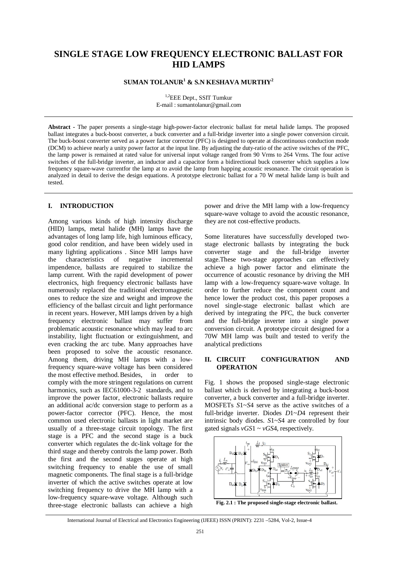## **SINGLE STAGE LOW FREQUENCY ELECTRONIC BALLAST FOR HID LAMPS**

## **SUMAN TOLANUR<sup>1</sup> & S.N KESHAVA MURTHY<sup>2</sup>**

<sup>1,2</sup>EEE Dept., SSIT Tumkur E-mail : sumantolanur@gmail.com

**Abstract -** The paper presents a single-stage high-power-factor electronic ballast for metal halide lamps. The proposed ballast integrates a buck-boost converter, a buck converter and a full-bridge inverter into a single power conversion circuit. The buck-boost converter served as a power factor corrector (PFC) is designed to operate at discontinuous conduction mode (DCM) to achieve nearly a unity power factor at the input line. By adjusting the duty-ratio of the active switches of the PFC, the lamp power is remained at rated value for universal input voltage ranged from 90 Vrms to 264 Vrms. The four active switches of the full-bridge inverter, an inductor and a capacitor form a bidirectional buck converter which supplies a low frequency square-wave currentfor the lamp at to avoid the lamp from happing acoustic resonance. The circuit operation is analyzed in detail to derive the design equations. A prototype electronic ballast for a 70 W metal halide lamp is built and tested.

## **I. INTRODUCTION**

Among various kinds of high intensity discharge (HID) lamps, metal halide (MH) lamps have the advantages of long lamp life, high luminous efficacy, good color rendition, and have been widely used in many lighting applications . Since MH lamps have the characteristics of negative incremental impendence, ballasts are required to stabilize the lamp current. With the rapid development of power electronics, high frequency electronic ballasts have numerously replaced the traditional electromagnetic ones to reduce the size and weight and improve the efficiency of the ballast circuit and light performance in recent years. However, MH lamps driven by a high frequency electronic ballast may suffer from problematic acoustic resonance which may lead to arc instability, light fluctuation or extinguishment, and even cracking the arc tube. Many approaches have been proposed to solve the acoustic resonance. Among them, driving MH lamps with a lowfrequency square-wave voltage has been considered the most effective method.Besides, in order to comply with the more stringent regulations on current harmonics, such as IEC61000-3-2 standards, and to improve the power factor, electronic ballasts require an additional ac/dc conversion stage to perform as a power-factor corrector (PFC). Hence, the most common used electronic ballasts in light market are usually of a three-stage circuit topology. The first stage is a PFC and the second stage is a buck converter which regulates the dc-link voltage for the third stage and thereby controls the lamp power. Both the first and the second stages operate at high switching frequency to enable the use of small magnetic components. The final stage is a full-bridge inverter of which the active switches operate at low switching frequency to drive the MH lamp with a low-frequency square-wave voltage. Although such three-stage electronic ballasts can achieve a high

power and drive the MH lamp with a low-frequency square-wave voltage to avoid the acoustic resonance. they are not cost-effective products.

Some literatures have successfully developed twostage electronic ballasts by integrating the buck converter stage and the full-bridge inverter stage.These two-stage approaches can effectively achieve a high power factor and eliminate the occurrence of acoustic resonance by driving the MH lamp with a low-frequency square-wave voltage. In order to further reduce the component count and hence lower the product cost, this paper proposes a novel single-stage electronic ballast which are derived by integrating the PFC, the buck converter and the full-bridge inverter into a single power conversion circuit. A prototype circuit designed for a 70W MH lamp was built and tested to verify the analytical predictions

## **II. CIRCUIT CONFIGURATION AND OPERATION**

Fig. 1 shows the proposed single-stage electronic ballast which is derived by integrating a buck-boost converter, a buck converter and a full-bridge inverter. MOSFETs *S*1~*S*4 serve as the active switches of a full-bridge inverter. Diodes *D*1~*D*4 represent their intrinsic body diodes. *S*1~*S*4 are controlled by four gated signals *vGS*1 ~ *vGS*4, respectively.



**Fig. 2.1 : The proposed single-stage electronic ballast.**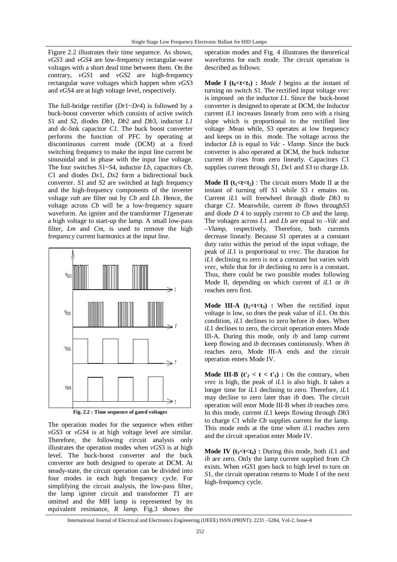Figure 2.2 illustrates their time sequence. As shown, *vGS*3 and *vGS*4 are low-frequency rectangular-wave voltages with a short dead time between them. On the contrary, *vGS*1 and *vGS*2 are high-frequency rectangular wave voltages which happen when *vGS*3 and *vGS*4 are at high voltage level, respectively.

The full-bridge rectifier (*Dr*1~*Dr*4) is followed by a buck-boost converter which consists of active switch *S*1 and *S*2, diodes *Db*1, *Db*2 and *Db*3, inductor *L1*  and dc-link capacitor *C1*. The buck boost converter performs the function of PFC by operating at discontinuous current mode (DCM) at a fixed switching frequency to make the input line current be sinusoidal and in phase with the input line voltage. The four switches *S*1~*S*4, inductor *Lb*, capacitors *Cb*, *C*1 and diodes *Dx*1, *Dx*2 form a bidirectional buck converter. *S*1 and *S*2 are switched at high frequency and the high-frequency components of the inverter voltage *vab* are filter out by *Cb* and *Lb*. Hence, the voltage across *Cb* will be a low-frequency square waveform. An igniter and the transformer *T1*generate a high voltage to start-up the lamp. A small low-pass filter, *Lm* and *Cm*, is used to remove the high frequency current harmonics at the input line.



**Fig. 2.2 : Time sequence of gated voltages**

The operation modes for the sequence when either *vGS*3 or *vGS*4 is at high voltage level are similar. Therefore, the following circuit analysis only illustrates the operation modes when *vGS*3 is at high level. The buck-boost converter and the buck converter are both designed to operate at DCM. At steady-state, the circuit operation can be divided into four modes in each high frequency cycle. For simplifying the circuit analysis, the low-pass filter, the lamp igniter circuit and transformer *T*1 are omitted and the MH lamp is represented by its equivalent resistance, *R lamp*. Fig.3 shows the

operation modes and Fig. 4 illustrates the theoretical waveforms for each mode. The circuit operation is described as follows:

**Mode I** ( $t_0$ < $t$ < $t_1$ ) : *Mode I* begins at the instant of turning on switch *S*1. The rectified input voltage *vrec*  is imposed on the inductor *L*1. Since the buck-boost converter is designed to operate at DCM, the Inductor current *iL*1 increases linearly from zero with a rising slope which is proportional to the rectified line voltage .Mean while, *S*3 operates at low frequency and keeps on in this mode. The voltage across the inductor *Lb* is equal to *Vdc* - *Vlamp*. Since the buck converter is also operated at DCM, the buck inductor current *ib* rises from zero linearly. Capacitors *C*1 supplies current through *S*1, *Dx*1 and *S*3 to charge *Lb*.

**Mode II** ( $t_1$ < $t$ **<** $t_2$ ) : The circuit enters Mode II at the instant of turning off *S*1 while *S*3 r emains on. Current *iL*1 will freewheel through diode *Db*3 to charge *C1*. Meanwhile, current *ib* flows through*S*3 and diode *D* 4 to supply current to *Cb* and the lamp. The voltages across *L*1 and *L*b are equal to *–Vdc* and –*Vlamp*, respectively. Therefore, both currents decrease linearly. Because *S*1 operates at a constant duty ratio within the period of the input voltage, the peak of *iL*1 is proportional to *vrec*. The duration for *iL*1 declining to zero is not a constant but varies with *vrec*, while that for *ib* declining to zero is a constant. Thus, there could be two possible modes following Mode II, depending on which current of *iL*1 or *ib*  reaches zero first.

**Mode III-A**  $(t_2 < t < t_3)$  : When the rectified input voltage is low, so does the peak value of *iL*1. On this condition, *iL*1 declines to zero before *ib* does. When *iL*1 declines to zero, the circuit operation enters Mode III-A. During this mode, only *ib* and lamp current keep flowing and *ib* decreases continuously. When *ib*  reaches zero, Mode III-A ends and the circuit operation enters Mode IV.

**Mode III-B**  $(t'_2 < t < t'_3)$  : On the contrary, when *vrec* is high, the peak of *iL*1 is also high. It takes a longer time for *iL*1 declining to zero. Therefore, *iL*1 may decline to zero later than *ib* does. The circuit operation will enter Mode III-B when *ib* reaches zero. In this mode, current *iL*1 keeps flowing through *Db*3 to charge *C*1 while *Cb* supplies current for the lamp. This mode ends at the time when *iL*1 reaches zero and the circuit operation enter Mode IV.

**Mode IV** ( $t_3$ < $t$  < $t_4$ ) : During this mode, both *iL*1 and *ib* are zero. Only the lamp current supplied from *Cb*  exists. When *vGS*1 goes back to high level to turn on *S*1, the circuit operation returns to Mode I of the next high-frequency cycle.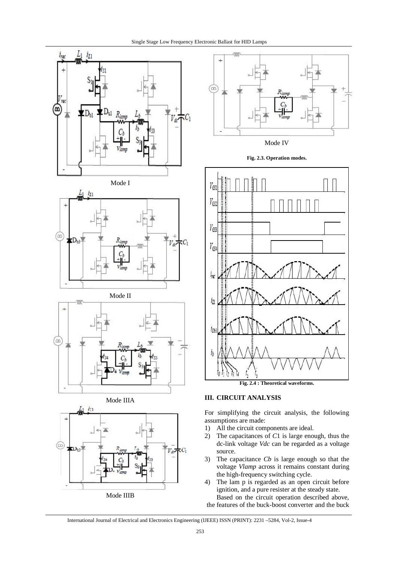





Mode II









**Fig. 2.4 : Theoretical waveforms.**

## **III. CIRCUIT ANALYSIS**

For simplifying the circuit analysis, the following assumptions are made:

- 1) All the circuit components are ideal.
- 2) The capacitances of *C*1 is large enough, thus the dc-link voltage *Vdc* can be regarded as a voltage source.
- 3) The capacitance *Cb* is large enough so that the voltage *Vlamp* across it remains constant during the high-frequency switching cycle.
- 4) The lam p is regarded as an open circuit before ignition, and a pure resister at the steady state. Based on the circuit operation described above,

the features of the buck-boost converter and the buck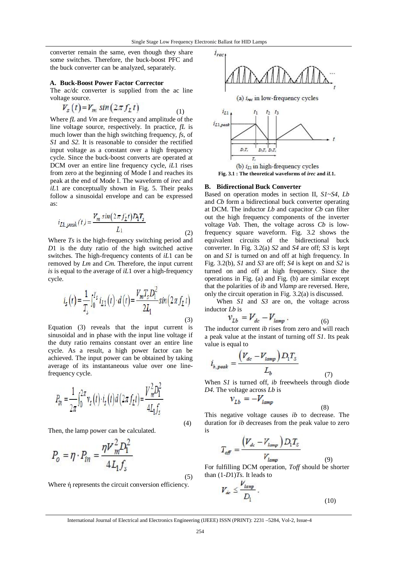converter remain the same, even though they share some switches. Therefore, the buck-boost PFC and the buck converter can be analyzed, separately.

#### **A. Buck-Boost Power Factor Corrector**

The ac/dc converter is supplied from the ac line voltage source.

$$
V_s(t) = V_m \sin(2\pi f_L t) \tag{1}
$$

Where *fL* and *Vm* are frequency and amplitude of the line voltage source, respectively. In practice, *fL* is much lower than the high switching frequency, *fs*, of *S1* and *S2*. It is reasonable to consider the rectified input voltage as a constant over a high frequency cycle. Since the buck-boost converts are operated at DCM over an entire line frequency cycle, *iL*1 rises from zero at the beginning of Mode I and reaches its peak at the end of Mode I. The waveform of *irec* and *iL*1 are conceptually shown in Fig. 5. Their peaks follow a sinusoidal envelope and can be expressed as:

$$
i_{L1,peak}(t) = \frac{V_m \sin(2\pi f_L t) D_1 T_s}{L_1}
$$
 (2)

Where *Ts* is the high-frequency switching period and *D*1 is the duty ratio of the high switched active switches. The high-frequency contents of *iL*1 can be removed by *Lm* and *Cm*. Therefore, the input current *is* is equal to the average of *iL*1 over a high-frequency cycle.

$$
i_{s}(t) = \frac{1}{T_{s}} \int_{0}^{T_{s}} i_{L1}(t) \cdot d(t) = \frac{V_{m} T_{s} D_{1}^{2}}{2I_{1}} sin(2\pi f_{L} t)
$$
\n(3)

Equation (3) reveals that the input current is sinusoidal and in phase with the input line voltage if the duty ratio remains constant over an entire line cycle. As a result, a high power factor can be achieved. The input power can be obtained by taking average of its instantaneous value over one linefrequency cycle.

$$
P_{in} = \frac{1}{2\pi} \int_0^{2\pi} v_s(t) \cdot i_s(t) dt (2\pi f_L t) = \frac{V_m^2 D_1^2}{4L_1 f_s}
$$

Then, the lamp power can be calculated.

$$
P_o = \eta \cdot P_{in} = \frac{\eta V_m^2 D_1^2}{4L_1 f_s}
$$
 (5)

Where ή represents the circuit conversion efficiency.



#### **B. Bidirectional Buck Converter**

Based on operation modes in section II, *S1*~*S4*, *Lb*  and *Cb* form a bidirectional buck converter operating at DCM. The inductor *Lb* and capacitor *Cb* can filter out the high frequency components of the inverter voltage *Vab*. Then, the voltage across *Cb* is lowfrequency square waveform. Fig. 3.2 shows the equivalent circuits of the bidirectional buck converter. In Fig. 3.2(a) *S2* and *S4* are off; *S3* is kept on and *S1* is turned on and off at high frequency. In Fig. 3.2(b), *S1* and *S3* are off; *S4* is kept on and *S2* is turned on and off at high frequency. Since the operations in Fig. (a) and Fig. (b) are similar except that the polarities of *ib* and *Vlamp* are reversed. Here, only the circuit operation in Fig. 3.2(a) is discussed.

When *S1* and *S3* are on, the voltage across inductor *Lb* is

$$
v_{Lb} = V_{dc} - V_{lamp} \tag{6}
$$

The inductor current *ib* rises from zero and will reach a peak value at the instant of turning off *S1*. Its peak value is equal to

$$
i_{b,peak} = \frac{\left(V_{dc} - V_{lamp}\right)D_1T_5}{L_b} \tag{7}
$$

When *S1* is turned off, *ib* freewheels through diode *D4*. The voltage across *Lb* is

$$
v_{Lb} = -V_{lamp} \tag{8}
$$

This negative voltage causes *ib* to decrease. The duration for *ib* decreases from the peak value to zero is

$$
T_{\text{off}} = \frac{\left(V_{dc} - V_{lamp}\right)D_1 T_S}{V_{lamp}}
$$

For fulfilling DCM operation, *Toff* should be shorter than (1-*D*1)*Ts*. It leads to

(9)

$$
V_{\dot{\alpha}\circ} \leq \frac{V_{lamp}}{D_l} \,. \tag{10}
$$

International Journal of Electrical and Electronics Engineering (IJEEE) ISSN (PRINT): 2231 –5284, Vol-2, Issue-4

(4)